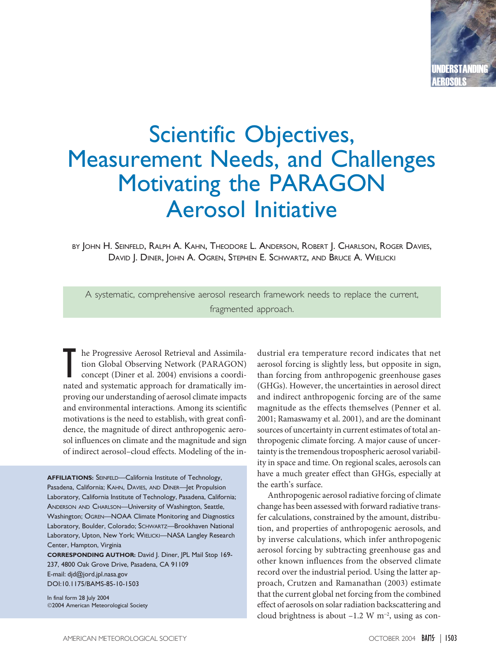## Scientific Objectives, Measurement Needs, and Challenges Motivating the PARAGON Aerosol Initiative

BY JOHN H. SEINFELD, RALPH A. KAHN, THEODORE L. ANDERSON, ROBERT J. CHARLSON, ROGER DAVIES, DAVID J. DINER, JOHN A. OGREN, STEPHEN E. SCHWARTZ, AND BRUCE A. WIELICKI

A systematic, comprehensive aerosol research framework needs to replace the current, fragmented approach.

he Progressive Aerosol Retrieval and Assimilation Global Observing Network (PARAGON) concept (Diner et al. 2004) envisions a coordinated and systematic approach for dramatically imhe Progressive Aerosol Retrieval and Assimilation Global Observing Network (PARAGON) concept (Diner et al. 2004) envisions a coordiproving our understanding of aerosol climate impacts and environmental interactions. Among its scientific motivations is the need to establish, with great confidence, the magnitude of direct anthropogenic aerosol influences on climate and the magnitude and sign of indirect aerosol–cloud effects. Modeling of the in-

**AFFILIATIONS:** SEINFELD—California Institute of Technology, Pasadena, California; KAHN, DAVIES, AND DINER—Jet Propulsion Laboratory, California Institute of Technology, Pasadena, California; ANDERSON AND CHARLSON—University of Washington, Seattle, Washington; OGREN—NOAA Climate Monitoring and Diagnostics Laboratory, Boulder, Colorado; SCHWARTZ—Brookhaven National Laboratory, Upton, New York; WIELICKI—NASA Langley Research Center, Hampton, Virginia

**CORRESPONDING AUTHOR:** David J. Diner, JPL Mail Stop 169- 237, 4800 Oak Grove Drive, Pasadena, CA 91109 E-mail: djd@jord.jpl.nasa.gov DOI:10.1175/BAMS-85-10-1503

In final form 28 July 2004 ©2004 American Meteorological Society

dustrial era temperature record indicates that net aerosol forcing is slightly less, but opposite in sign, than forcing from anthropogenic greenhouse gases (GHGs). However, the uncertainties in aerosol direct and indirect anthropogenic forcing are of the same magnitude as the effects themselves (Penner et al. 2001; Ramaswamy et al. 2001), and are the dominant sources of uncertainty in current estimates of total anthropogenic climate forcing. A major cause of uncertainty is the tremendous tropospheric aerosol variability in space and time. On regional scales, aerosols can have a much greater effect than GHGs, especially at the earth's surface.

Anthropogenic aerosol radiative forcing of climate change has been assessed with forward radiative transfer calculations, constrained by the amount, distribution, and properties of anthropogenic aerosols, and by inverse calculations, which infer anthropogenic aerosol forcing by subtracting greenhouse gas and other known influences from the observed climate record over the industrial period. Using the latter approach, Crutzen and Ramanathan (2003) estimate that the current global net forcing from the combined effect of aerosols on solar radiation backscattering and cloud brightness is about  $-1.2 \text{ W m}^{-2}$ , using as con-

UNDERSTANDING AEROSOLS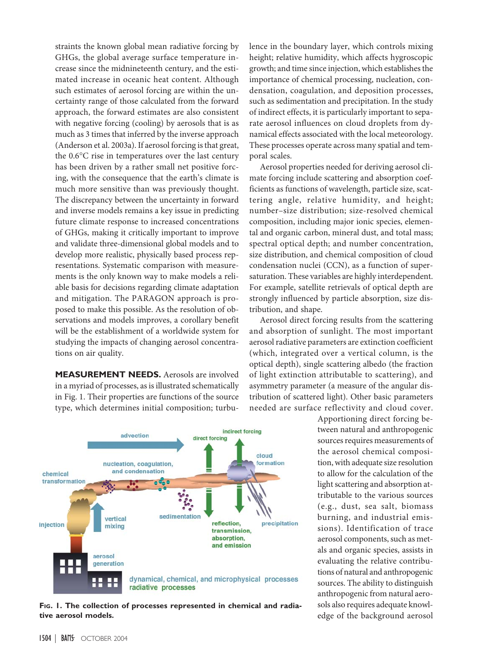straints the known global mean radiative forcing by GHGs, the global average surface temperature increase since the midnineteenth century, and the estimated increase in oceanic heat content. Although such estimates of aerosol forcing are within the uncertainty range of those calculated from the forward approach, the forward estimates are also consistent with negative forcing (cooling) by aerosols that is as much as 3 times that inferred by the inverse approach (Anderson et al. 2003a). If aerosol forcing is that great, the 0.6∞C rise in temperatures over the last century has been driven by a rather small net positive forcing, with the consequence that the earth's climate is much more sensitive than was previously thought. The discrepancy between the uncertainty in forward and inverse models remains a key issue in predicting future climate response to increased concentrations of GHGs, making it critically important to improve and validate three-dimensional global models and to develop more realistic, physically based process representations. Systematic comparison with measurements is the only known way to make models a reliable basis for decisions regarding climate adaptation and mitigation. The PARAGON approach is proposed to make this possible. As the resolution of observations and models improves, a corollary benefit will be the establishment of a worldwide system for studying the impacts of changing aerosol concentrations on air quality.

**MEASUREMENT NEEDS.** Aerosols are involved in a myriad of processes, as is illustrated schematically in Fig. 1. Their properties are functions of the source type, which determines initial composition; turbulence in the boundary layer, which controls mixing height; relative humidity, which affects hygroscopic growth; and time since injection, which establishes the importance of chemical processing, nucleation, condensation, coagulation, and deposition processes, such as sedimentation and precipitation. In the study of indirect effects, it is particularly important to separate aerosol influences on cloud droplets from dynamical effects associated with the local meteorology. These processes operate across many spatial and temporal scales.

Aerosol properties needed for deriving aerosol climate forcing include scattering and absorption coefficients as functions of wavelength, particle size, scattering angle, relative humidity, and height; number–size distribution; size-resolved chemical composition, including major ionic species, elemental and organic carbon, mineral dust, and total mass; spectral optical depth; and number concentration, size distribution, and chemical composition of cloud condensation nuclei (CCN), as a function of supersaturation. These variables are highly interdependent. For example, satellite retrievals of optical depth are strongly influenced by particle absorption, size distribution, and shape.

Aerosol direct forcing results from the scattering and absorption of sunlight. The most important aerosol radiative parameters are extinction coefficient (which, integrated over a vertical column, is the optical depth), single scattering albedo (the fraction of light extinction attributable to scattering), and asymmetry parameter (a measure of the angular distribution of scattered light). Other basic parameters needed are surface reflectivity and cloud cover.



**FIG. 1. The collection of processes represented in chemical and radiative aerosol models.**

Apportioning direct forcing between natural and anthropogenic sources requires measurements of the aerosol chemical composition, with adequate size resolution to allow for the calculation of the light scattering and absorption attributable to the various sources (e.g., dust, sea salt, biomass burning, and industrial emissions). Identification of trace aerosol components, such as metals and organic species, assists in evaluating the relative contributions of natural and anthropogenic sources. The ability to distinguish anthropogenic from natural aerosols also requires adequate knowledge of the background aerosol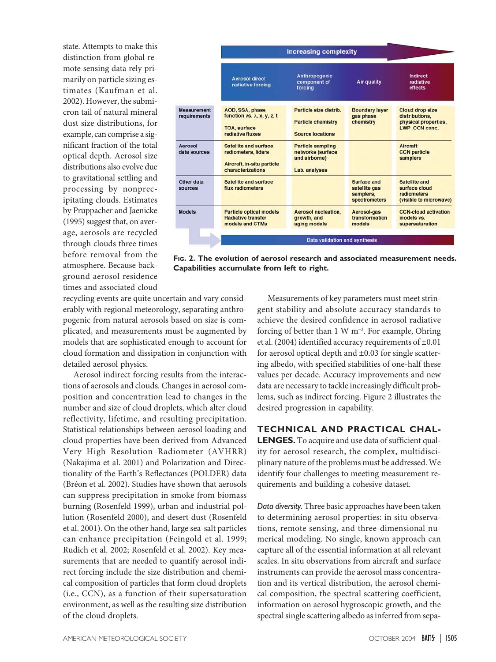state. Attempts to make this distinction from global remote sensing data rely primarily on particle sizing estimates (Kaufman et al. 2002). However, the submicron tail of natural mineral dust size distributions, for example, can comprise a significant fraction of the total optical depth. Aerosol size distributions also evolve due to gravitational settling and processing by nonprecipitating clouds. Estimates by Pruppacher and Jaenicke (1995) suggest that, on average, aerosols are recycled through clouds three times before removal from the atmosphere. Because background aerosol residence times and associated cloud



**FIG. 2. The evolution of aerosol research and associated measurement needs. Capabilities accumulate from left to right.**

recycling events are quite uncertain and vary considerably with regional meteorology, separating anthropogenic from natural aerosols based on size is complicated, and measurements must be augmented by models that are sophisticated enough to account for cloud formation and dissipation in conjunction with detailed aerosol physics.

Aerosol indirect forcing results from the interactions of aerosols and clouds. Changes in aerosol composition and concentration lead to changes in the number and size of cloud droplets, which alter cloud reflectivity, lifetime, and resulting precipitation. Statistical relationships between aerosol loading and cloud properties have been derived from Advanced Very High Resolution Radiometer (AVHRR) (Nakajima et al. 2001) and Polarization and Directionality of the Earth's Reflectances (POLDER) data (Bréon et al. 2002). Studies have shown that aerosols can suppress precipitation in smoke from biomass burning (Rosenfeld 1999), urban and industrial pollution (Rosenfeld 2000), and desert dust (Rosenfeld et al. 2001). On the other hand, large sea-salt particles can enhance precipitation (Feingold et al. 1999; Rudich et al. 2002; Rosenfeld et al. 2002). Key measurements that are needed to quantify aerosol indirect forcing include the size distribution and chemical composition of particles that form cloud droplets (i.e., CCN), as a function of their supersaturation environment, as well as the resulting size distribution of the cloud droplets.

Measurements of key parameters must meet stringent stability and absolute accuracy standards to achieve the desired confidence in aerosol radiative forcing of better than 1 W m<sup>-2</sup>. For example, Ohring et al. (2004) identified accuracy requirements of  $\pm 0.01$ for aerosol optical depth and  $\pm 0.03$  for single scattering albedo, with specified stabilities of one-half these values per decade. Accuracy improvements and new data are necessary to tackle increasingly difficult problems, such as indirect forcing. Figure 2 illustrates the desired progression in capability.

## **TECHNICAL AND PRACTICAL CHAL-**

**LENGES.** To acquire and use data of sufficient quality for aerosol research, the complex, multidisciplinary nature of the problems must be addressed. We identify four challenges to meeting measurement requirements and building a cohesive dataset.

*Data diversity.* Three basic approaches have been taken to determining aerosol properties: in situ observations, remote sensing, and three-dimensional numerical modeling. No single, known approach can capture all of the essential information at all relevant scales. In situ observations from aircraft and surface instruments can provide the aerosol mass concentration and its vertical distribution, the aerosol chemical composition, the spectral scattering coefficient, information on aerosol hygroscopic growth, and the spectral single scattering albedo as inferred from sepa-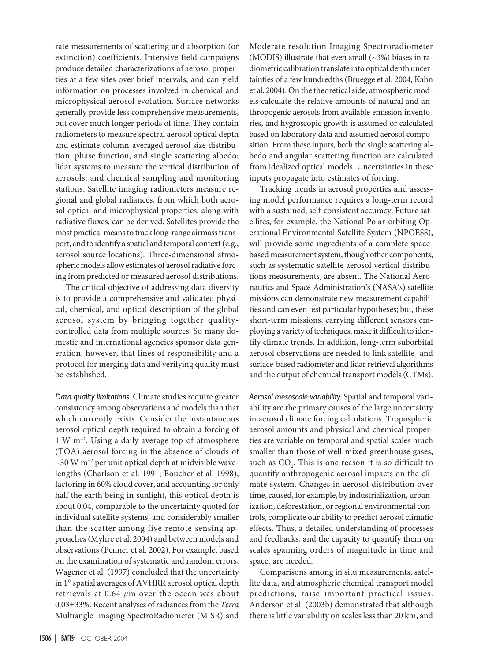rate measurements of scattering and absorption (or extinction) coefficients. Intensive field campaigns produce detailed characterizations of aerosol properties at a few sites over brief intervals, and can yield information on processes involved in chemical and microphysical aerosol evolution. Surface networks generally provide less comprehensive measurements, but cover much longer periods of time. They contain radiometers to measure spectral aerosol optical depth and estimate column-averaged aerosol size distribution, phase function, and single scattering albedo; lidar systems to measure the vertical distribution of aerosols; and chemical sampling and monitoring stations. Satellite imaging radiometers measure regional and global radiances, from which both aerosol optical and microphysical properties, along with radiative fluxes, can be derived. Satellites provide the most practical means to track long-range airmass transport, and to identify a spatial and temporal context (e.g., aerosol source locations). Three-dimensional atmospheric models allow estimates of aerosol radiative forcing from predicted or measured aerosol distributions.

The critical objective of addressing data diversity is to provide a comprehensive and validated physical, chemical, and optical description of the global aerosol system by bringing together qualitycontrolled data from multiple sources. So many domestic and international agencies sponsor data generation, however, that lines of responsibility and a protocol for merging data and verifying quality must be established.

*Data quality limitations.* Climate studies require greater consistency among observations and models than that which currently exists. Consider the instantaneous aerosol optical depth required to obtain a forcing of 1 W m-<sup>2</sup> . Using a daily average top-of-atmosphere (TOA) aerosol forcing in the absence of clouds of  $\sim$ 30 W m<sup>-2</sup> per unit optical depth at midvisible wavelengths (Charlson et al. 1991; Boucher et al. 1998), factoring in 60% cloud cover, and accounting for only half the earth being in sunlight, this optical depth is about 0.04, comparable to the uncertainty quoted for individual satellite systems, and considerably smaller than the scatter among five remote sensing approaches (Myhre et al. 2004) and between models and observations (Penner et al. 2002). For example, based on the examination of systematic and random errors, Wagener et al. (1997) concluded that the uncertainty in 1∞ spatial averages of AVHRR aerosol optical depth retrievals at 0.64  $\mu$ m over the ocean was about 0.03±33%. Recent analyses of radiances from the *Terra* Multiangle Imaging SpectroRadiometer (MISR) and

Moderate resolution Imaging Spectroradiometer (MODIS) illustrate that even small  $(\sim 3\%)$  biases in radiometric calibration translate into optical depth uncertainties of a few hundredths (Bruegge et al. 2004; Kahn et al. 2004). On the theoretical side, atmospheric models calculate the relative amounts of natural and anthropogenic aerosols from available emission inventories, and hygroscopic growth is assumed or calculated based on laboratory data and assumed aerosol composition. From these inputs, both the single scattering albedo and angular scattering function are calculated from idealized optical models. Uncertainties in these inputs propagate into estimates of forcing.

Tracking trends in aerosol properties and assessing model performance requires a long-term record with a sustained, self-consistent accuracy. Future satellites, for example, the National Polar-orbiting Operational Environmental Satellite System (NPOESS), will provide some ingredients of a complete spacebased measurement system, though other components, such as systematic satellite aerosol vertical distributions measurements, are absent. The National Aeronautics and Space Administration's (NASA's) satellite missions can demonstrate new measurement capabilities and can even test particular hypotheses; but, these short-term missions, carrying different sensors employing a variety of techniques, make it difficult to identify climate trends. In addition, long-term suborbital aerosol observations are needed to link satellite- and surface-based radiometer and lidar retrieval algorithms and the output of chemical transport models (CTMs).

*Aerosol mesoscale variability.* Spatial and temporal variability are the primary causes of the large uncertainty in aerosol climate forcing calculations. Tropospheric aerosol amounts and physical and chemical properties are variable on temporal and spatial scales much smaller than those of well-mixed greenhouse gases, such as  $\mathrm{CO}_2^{\phantom{\dag}}$ . This is one reason it is so difficult to quantify anthropogenic aerosol impacts on the climate system. Changes in aerosol distribution over time, caused, for example, by industrialization, urbanization, deforestation, or regional environmental controls, complicate our ability to predict aerosol climatic effects. Thus, a detailed understanding of processes and feedbacks, and the capacity to quantify them on scales spanning orders of magnitude in time and space, are needed.

Comparisons among in situ measurements, satellite data, and atmospheric chemical transport model predictions, raise important practical issues. Anderson et al. (2003b) demonstrated that although there is little variability on scales less than 20 km, and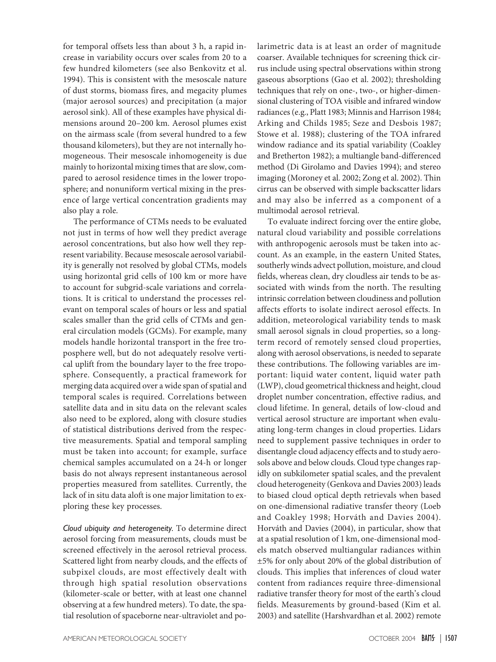for temporal offsets less than about 3 h, a rapid increase in variability occurs over scales from 20 to a few hundred kilometers (see also Benkovitz et al. 1994). This is consistent with the mesoscale nature of dust storms, biomass fires, and megacity plumes (major aerosol sources) and precipitation (a major aerosol sink). All of these examples have physical dimensions around 20–200 km. Aerosol plumes exist on the airmass scale (from several hundred to a few thousand kilometers), but they are not internally homogeneous. Their mesoscale inhomogeneity is due mainly to horizontal mixing times that are slow, compared to aerosol residence times in the lower troposphere; and nonuniform vertical mixing in the presence of large vertical concentration gradients may also play a role.

The performance of CTMs needs to be evaluated not just in terms of how well they predict average aerosol concentrations, but also how well they represent variability. Because mesoscale aerosol variability is generally not resolved by global CTMs, models using horizontal grid cells of 100 km or more have to account for subgrid-scale variations and correlations. It is critical to understand the processes relevant on temporal scales of hours or less and spatial scales smaller than the grid cells of CTMs and general circulation models (GCMs). For example, many models handle horizontal transport in the free troposphere well, but do not adequately resolve vertical uplift from the boundary layer to the free troposphere. Consequently, a practical framework for merging data acquired over a wide span of spatial and temporal scales is required. Correlations between satellite data and in situ data on the relevant scales also need to be explored, along with closure studies of statistical distributions derived from the respective measurements. Spatial and temporal sampling must be taken into account; for example, surface chemical samples accumulated on a 24-h or longer basis do not always represent instantaneous aerosol properties measured from satellites. Currently, the lack of in situ data aloft is one major limitation to exploring these key processes.

*Cloud ubiquity and heterogeneity.* To determine direct aerosol forcing from measurements, clouds must be screened effectively in the aerosol retrieval process. Scattered light from nearby clouds, and the effects of subpixel clouds, are most effectively dealt with through high spatial resolution observations (kilometer-scale or better, with at least one channel observing at a few hundred meters). To date, the spatial resolution of spaceborne near-ultraviolet and polarimetric data is at least an order of magnitude coarser. Available techniques for screening thick cirrus include using spectral observations within strong gaseous absorptions (Gao et al. 2002); thresholding techniques that rely on one-, two-, or higher-dimensional clustering of TOA visible and infrared window radiances (e.g., Platt 1983; Minnis and Harrison 1984; Arking and Childs 1985; Seze and Desbois 1987; Stowe et al. 1988); clustering of the TOA infrared window radiance and its spatial variability (Coakley and Bretherton 1982); a multiangle band-differenced method (Di Girolamo and Davies 1994); and stereo imaging (Moroney et al. 2002; Zong et al. 2002). Thin cirrus can be observed with simple backscatter lidars and may also be inferred as a component of a multimodal aerosol retrieval.

To evaluate indirect forcing over the entire globe, natural cloud variability and possible correlations with anthropogenic aerosols must be taken into account. As an example, in the eastern United States, southerly winds advect pollution, moisture, and cloud fields, whereas clean, dry cloudless air tends to be associated with winds from the north. The resulting intrinsic correlation between cloudiness and pollution affects efforts to isolate indirect aerosol effects. In addition, meteorological variability tends to mask small aerosol signals in cloud properties, so a longterm record of remotely sensed cloud properties, along with aerosol observations, is needed to separate these contributions. The following variables are important: liquid water content, liquid water path (LWP), cloud geometrical thickness and height, cloud droplet number concentration, effective radius, and cloud lifetime. In general, details of low-cloud and vertical aerosol structure are important when evaluating long-term changes in cloud properties. Lidars need to supplement passive techniques in order to disentangle cloud adjacency effects and to study aerosols above and below clouds. Cloud type changes rapidly on subkilometer spatial scales, and the prevalent cloud heterogeneity (Genkova and Davies 2003) leads to biased cloud optical depth retrievals when based on one-dimensional radiative transfer theory (Loeb and Coakley 1998; Horváth and Davies 2004). Horváth and Davies (2004), in particular, show that at a spatial resolution of 1 km, one-dimensional models match observed multiangular radiances within ±5% for only about 20% of the global distribution of clouds. This implies that inferences of cloud water content from radiances require three-dimensional radiative transfer theory for most of the earth's cloud fields. Measurements by ground-based (Kim et al. 2003) and satellite (Harshvardhan et al. 2002) remote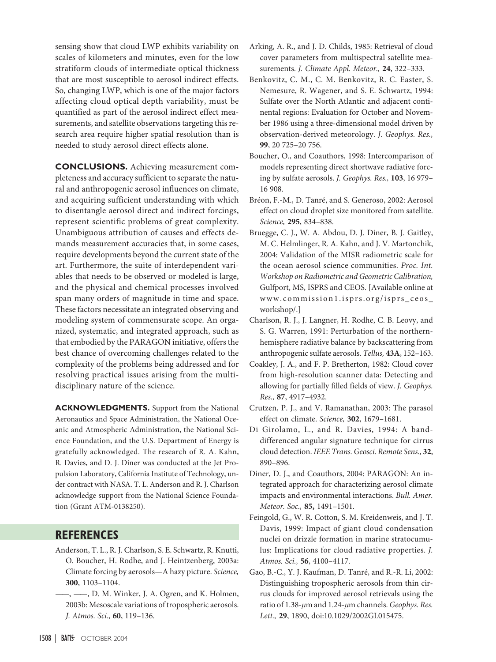sensing show that cloud LWP exhibits variability on scales of kilometers and minutes, even for the low stratiform clouds of intermediate optical thickness that are most susceptible to aerosol indirect effects. So, changing LWP, which is one of the major factors affecting cloud optical depth variability, must be quantified as part of the aerosol indirect effect measurements, and satellite observations targeting this research area require higher spatial resolution than is needed to study aerosol direct effects alone.

**CONCLUSIONS.** Achieving measurement completeness and accuracy sufficient to separate the natural and anthropogenic aerosol influences on climate, and acquiring sufficient understanding with which to disentangle aerosol direct and indirect forcings, represent scientific problems of great complexity. Unambiguous attribution of causes and effects demands measurement accuracies that, in some cases, require developments beyond the current state of the art. Furthermore, the suite of interdependent variables that needs to be observed or modeled is large, and the physical and chemical processes involved span many orders of magnitude in time and space. These factors necessitate an integrated observing and modeling system of commensurate scope. An organized, systematic, and integrated approach, such as that embodied by the PARAGON initiative, offers the best chance of overcoming challenges related to the complexity of the problems being addressed and for resolving practical issues arising from the multidisciplinary nature of the science.

**ACKNOWLEDGMENTS.** Support from the National Aeronautics and Space Administration, the National Oceanic and Atmospheric Administration, the National Science Foundation, and the U.S. Department of Energy is gratefully acknowledged. The research of R. A. Kahn, R. Davies, and D. J. Diner was conducted at the Jet Propulsion Laboratory, California Institute of Technology, under contract with NASA. T. L. Anderson and R. J. Charlson acknowledge support from the National Science Foundation (Grant ATM-0138250).

## **REFERENCES**

- Anderson, T. L., R. J. Charlson, S. E. Schwartz, R. Knutti, O. Boucher, H. Rodhe, and J. Heintzenberg, 2003a: Climate forcing by aerosols—A hazy picture. *Science,* **300**, 1103–1104.
- ——, ——, D. M. Winker, J. A. Ogren, and K. Holmen, 2003b: Mesoscale variations of tropospheric aerosols. *J. Atmos. Sci.,* **60**, 119–136.
- Arking, A. R., and J. D. Childs, 1985: Retrieval of cloud cover parameters from multispectral satellite measurements. *J. Climate Appl. Meteor.,* **24**, 322–333.
- Benkovitz, C. M., C. M. Benkovitz, R. C. Easter, S. Nemesure, R. Wagener, and S. E. Schwartz, 1994: Sulfate over the North Atlantic and adjacent continental regions: Evaluation for October and November 1986 using a three-dimensional model driven by observation-derived meteorology. *J. Geophys. Res.,* **99**, 20 725–20 756.
- Boucher, O., and Coauthors, 1998: Intercomparison of models representing direct shortwave radiative forcing by sulfate aerosols. *J. Geophys. Res.,* **103**, 16 979– 16 908.
- Bréon, F.-M., D. Tanré, and S. Generoso, 2002: Aerosol effect on cloud droplet size monitored from satellite. *Science,* **295**, 834–838.
- Bruegge, C. J., W. A. Abdou, D. J. Diner, B. J. Gaitley, M. C. Helmlinger, R. A. Kahn, and J. V. Martonchik, 2004: Validation of the MISR radiometric scale for the ocean aerosol science communities. *Proc. Int. Workshop on Radiometric and Geometric Calibration,* Gulfport, MS, ISPRS and CEOS. [Available online at www.commission1.isprs.org/isprs\_ceos\_ workshop/.]
- Charlson, R. J., J. Langner, H. Rodhe, C. B. Leovy, and S. G. Warren, 1991: Perturbation of the northernhemisphere radiative balance by backscattering from anthropogenic sulfate aerosols. *Tellus,* **43A**, 152–163.
- Coakley, J. A., and F. P. Bretherton, 1982: Cloud cover from high-resolution scanner data: Detecting and allowing for partially filled fields of view. *J. Geophys. Res.,* **87**, 4917–4932.
- Crutzen, P. J., and V. Ramanathan, 2003: The parasol effect on climate. *Science,* **302**, 1679–1681.
- Di Girolamo, L., and R. Davies, 1994: A banddifferenced angular signature technique for cirrus cloud detection. *IEEE Trans. Geosci. Remote Sens.,* **32**, 890–896.
- Diner, D. J., and Coauthors, 2004: PARAGON: An integrated approach for characterizing aerosol climate impacts and environmental interactions. *Bull. Amer. Meteor. Soc.,* **85,** 1491–1501.
- Feingold, G., W. R. Cotton, S. M. Kreidenweis, and J. T. Davis, 1999: Impact of giant cloud condensation nuclei on drizzle formation in marine stratocumulus: Implications for cloud radiative properties. *J. Atmos. Sci.,* **56**, 4100–4117.
- Gao, B.-C., Y. J. Kaufman, D. Tanré, and R.-R. Li, 2002: Distinguishing tropospheric aerosols from thin cirrus clouds for improved aerosol retrievals using the ratio of 1.38-*m*m and 1.24-*m*m channels. *Geophys. Res. Lett.,* **29**, 1890, doi:10.1029/2002GL015475.